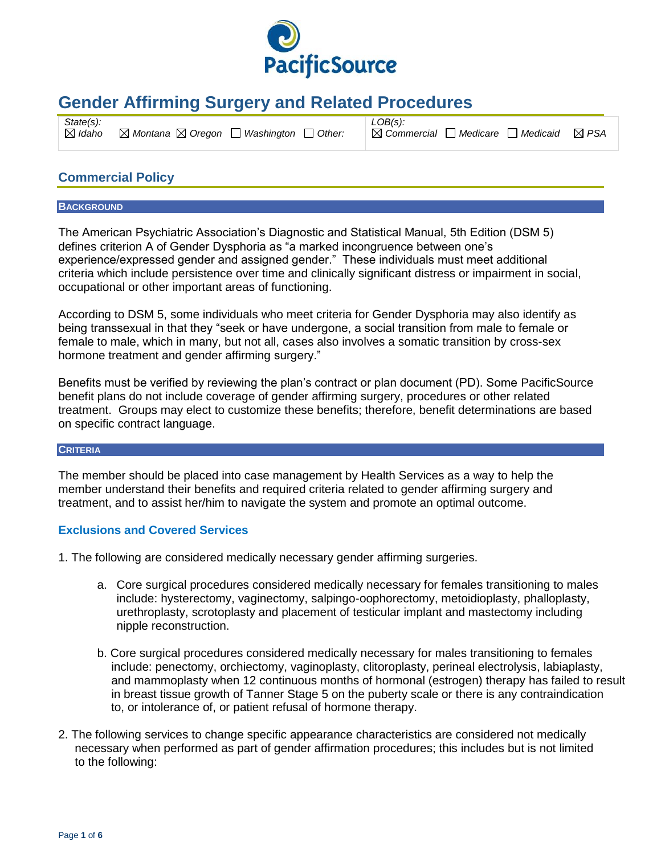

# **Gender Affirming Surgery and Related Procedures**

*State(s): Idaho Montana Oregon Washington Other:*

*LOB(s):*

*Commercial Medicare Medicaid PSA* 

## **Commercial Policy**

#### **BACKGROUND**

The American Psychiatric Association's Diagnostic and Statistical Manual, 5th Edition (DSM 5) defines criterion A of Gender Dysphoria as "a marked incongruence between one's experience/expressed gender and assigned gender." These individuals must meet additional criteria which include persistence over time and clinically significant distress or impairment in social, occupational or other important areas of functioning.

According to DSM 5, some individuals who meet criteria for Gender Dysphoria may also identify as being transsexual in that they "seek or have undergone, a social transition from male to female or female to male, which in many, but not all, cases also involves a somatic transition by cross-sex hormone treatment and gender affirming surgery."

Benefits must be verified by reviewing the plan's contract or plan document (PD). Some PacificSource benefit plans do not include coverage of gender affirming surgery, procedures or other related treatment. Groups may elect to customize these benefits; therefore, benefit determinations are based on specific contract language.

#### **CRITERIA**

The member should be placed into case management by Health Services as a way to help the member understand their benefits and required criteria related to gender affirming surgery and treatment, and to assist her/him to navigate the system and promote an optimal outcome.

## **Exclusions and Covered Services**

- 1. The following are considered medically necessary gender affirming surgeries.
	- a. Core surgical procedures considered medically necessary for females transitioning to males include: hysterectomy, vaginectomy, salpingo-oophorectomy, metoidioplasty, phalloplasty, urethroplasty, scrotoplasty and placement of testicular implant and mastectomy including nipple reconstruction.
	- b. Core surgical procedures considered medically necessary for males transitioning to females include: penectomy, orchiectomy, vaginoplasty, clitoroplasty, perineal electrolysis, labiaplasty, and mammoplasty when 12 continuous months of hormonal (estrogen) therapy has failed to result in breast tissue growth of Tanner Stage 5 on the puberty scale or there is any contraindication to, or intolerance of, or patient refusal of hormone therapy.
- 2. The following services to change specific appearance characteristics are considered not medically necessary when performed as part of gender affirmation procedures; this includes but is not limited to the following: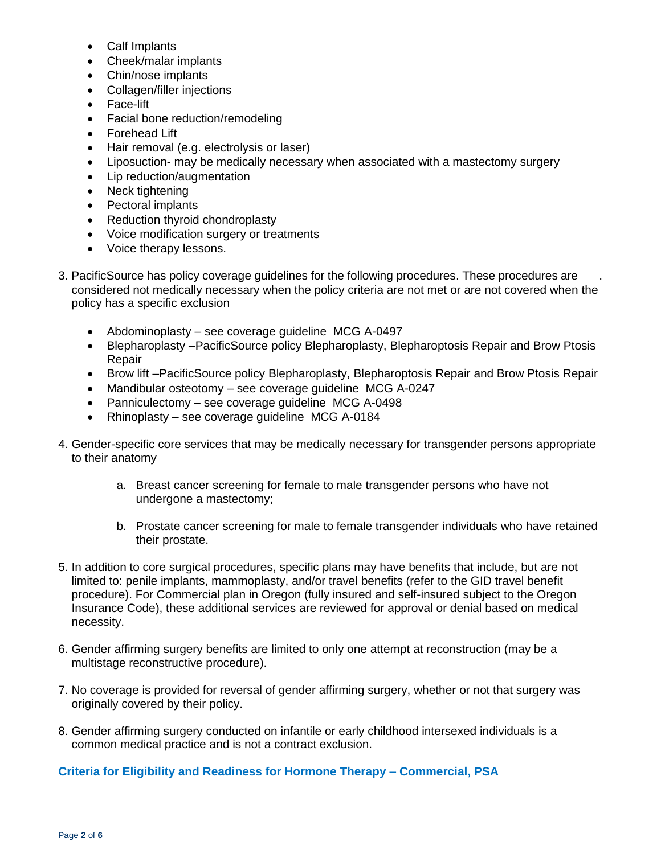- Calf Implants
- Cheek/malar implants
- Chin/nose implants
- Collagen/filler injections
- Face-lift
- Facial bone reduction/remodeling
- Forehead Lift
- Hair removal (e.g. electrolysis or laser)
- Liposuction- may be medically necessary when associated with a mastectomy surgery
- Lip reduction/augmentation
- Neck tightening
- Pectoral implants
- Reduction thyroid chondroplasty
- Voice modification surgery or treatments
- Voice therapy lessons.
- 3. PacificSource has policy coverage guidelines for the following procedures. These procedures are . considered not medically necessary when the policy criteria are not met or are not covered when the policy has a specific exclusion
	- Abdominoplasty see coverage guideline MCG A-0497
	- Blepharoplasty –PacificSource policy Blepharoplasty, Blepharoptosis Repair and Brow Ptosis Repair
	- Brow lift –PacificSource policy Blepharoplasty, Blepharoptosis Repair and Brow Ptosis Repair
	- Mandibular osteotomy see coverage guideline MCG A-0247
	- Panniculectomy see coverage guideline MCG A-0498
	- Rhinoplasty see coverage guideline MCG A-0184
- 4. Gender-specific core services that may be medically necessary for transgender persons appropriate to their anatomy
	- a. Breast cancer screening for female to male transgender persons who have not undergone a mastectomy;
	- b. Prostate cancer screening for male to female transgender individuals who have retained their prostate.
- 5. In addition to core surgical procedures, specific plans may have benefits that include, but are not limited to: penile implants, mammoplasty, and/or travel benefits (refer to the GID travel benefit procedure). For Commercial plan in Oregon (fully insured and self-insured subject to the Oregon Insurance Code), these additional services are reviewed for approval or denial based on medical necessity.
- 6. Gender affirming surgery benefits are limited to only one attempt at reconstruction (may be a multistage reconstructive procedure).
- 7. No coverage is provided for reversal of gender affirming surgery, whether or not that surgery was originally covered by their policy.
- 8. Gender affirming surgery conducted on infantile or early childhood intersexed individuals is a common medical practice and is not a contract exclusion.

**Criteria for Eligibility and Readiness for Hormone Therapy – Commercial, PSA**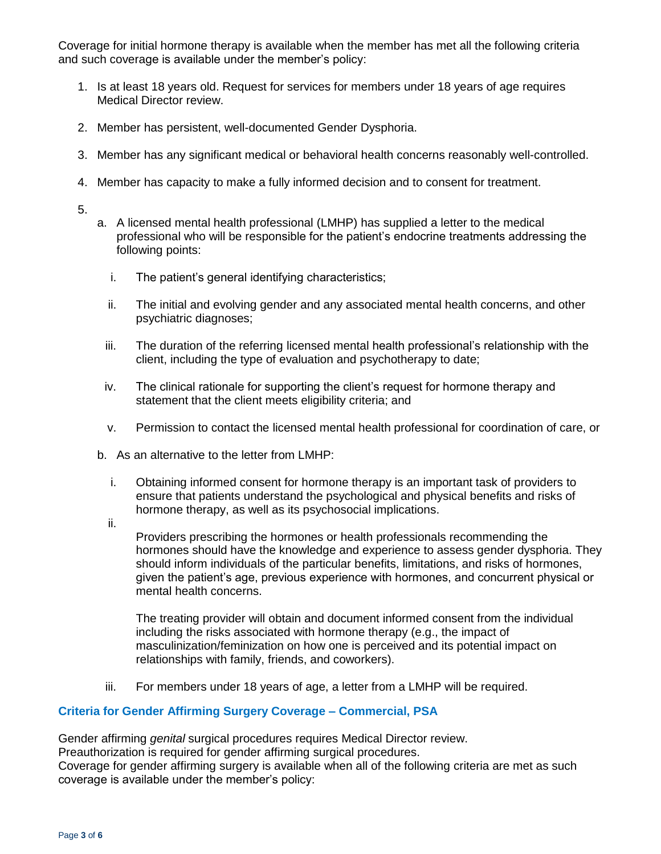Coverage for initial hormone therapy is available when the member has met all the following criteria and such coverage is available under the member's policy:

- 1. Is at least 18 years old. Request for services for members under 18 years of age requires Medical Director review.
- 2. Member has persistent, well-documented Gender Dysphoria.
- 3. Member has any significant medical or behavioral health concerns reasonably well-controlled.
- 4. Member has capacity to make a fully informed decision and to consent for treatment.
- 5.
- a. A licensed mental health professional (LMHP) has supplied a letter to the medical professional who will be responsible for the patient's endocrine treatments addressing the following points:
	- i. The patient's general identifying characteristics;
	- ii. The initial and evolving gender and any associated mental health concerns, and other psychiatric diagnoses;
	- iii. The duration of the referring licensed mental health professional's relationship with the client, including the type of evaluation and psychotherapy to date;
	- iv. The clinical rationale for supporting the client's request for hormone therapy and statement that the client meets eligibility criteria; and
	- v. Permission to contact the licensed mental health professional for coordination of care, or
- b. As an alternative to the letter from LMHP:
	- i. Obtaining informed consent for hormone therapy is an important task of providers to ensure that patients understand the psychological and physical benefits and risks of hormone therapy, as well as its psychosocial implications.
	- ii.

Providers prescribing the hormones or health professionals recommending the hormones should have the knowledge and experience to assess gender dysphoria. They should inform individuals of the particular benefits, limitations, and risks of hormones, given the patient's age, previous experience with hormones, and concurrent physical or mental health concerns.

The treating provider will obtain and document informed consent from the individual including the risks associated with hormone therapy (e.g., the impact of masculinization/feminization on how one is perceived and its potential impact on relationships with family, friends, and coworkers).

iii. For members under 18 years of age, a letter from a LMHP will be required.

## **Criteria for Gender Affirming Surgery Coverage – Commercial, PSA**

Gender affirming *genital* surgical procedures requires Medical Director review.

Preauthorization is required for gender affirming surgical procedures.

Coverage for gender affirming surgery is available when all of the following criteria are met as such coverage is available under the member's policy: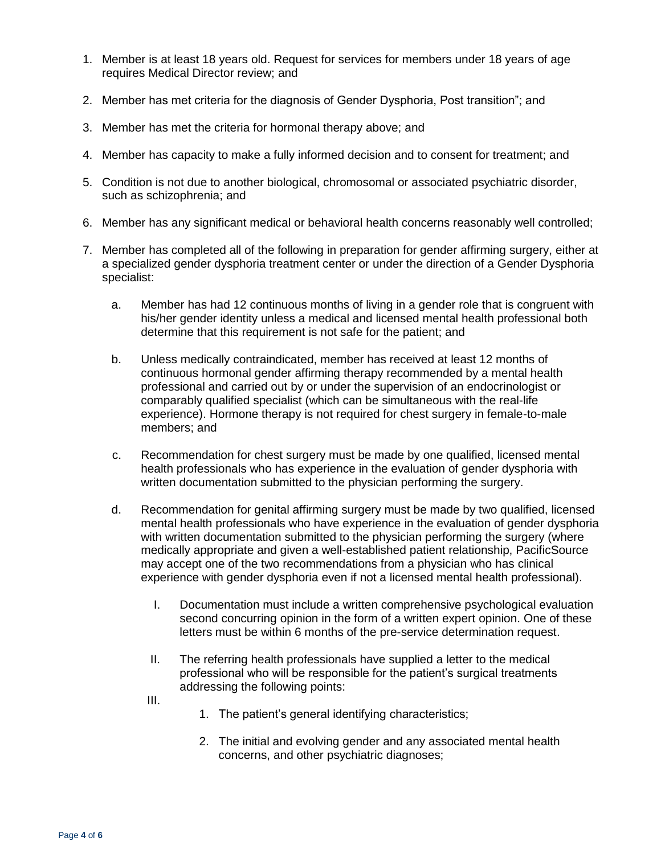- 1. Member is at least 18 years old. Request for services for members under 18 years of age requires Medical Director review; and
- 2. Member has met criteria for the diagnosis of Gender Dysphoria, Post transition"; and
- 3. Member has met the criteria for hormonal therapy above; and
- 4. Member has capacity to make a fully informed decision and to consent for treatment; and
- 5. Condition is not due to another biological, chromosomal or associated psychiatric disorder, such as schizophrenia; and
- 6. Member has any significant medical or behavioral health concerns reasonably well controlled;
- 7. Member has completed all of the following in preparation for gender affirming surgery, either at a specialized gender dysphoria treatment center or under the direction of a Gender Dysphoria specialist:
	- a. Member has had 12 continuous months of living in a gender role that is congruent with his/her gender identity unless a medical and licensed mental health professional both determine that this requirement is not safe for the patient; and
	- b. Unless medically contraindicated, member has received at least 12 months of continuous hormonal gender affirming therapy recommended by a mental health professional and carried out by or under the supervision of an endocrinologist or comparably qualified specialist (which can be simultaneous with the real-life experience). Hormone therapy is not required for chest surgery in female-to-male members; and
	- c. Recommendation for chest surgery must be made by one qualified, licensed mental health professionals who has experience in the evaluation of gender dysphoria with written documentation submitted to the physician performing the surgery.
	- d. Recommendation for genital affirming surgery must be made by two qualified, licensed mental health professionals who have experience in the evaluation of gender dysphoria with written documentation submitted to the physician performing the surgery (where medically appropriate and given a well-established patient relationship, PacificSource may accept one of the two recommendations from a physician who has clinical experience with gender dysphoria even if not a licensed mental health professional).
		- I. Documentation must include a written comprehensive psychological evaluation second concurring opinion in the form of a written expert opinion. One of these letters must be within 6 months of the pre-service determination request.
		- II. The referring health professionals have supplied a letter to the medical professional who will be responsible for the patient's surgical treatments addressing the following points:
		- III.
- 1. The patient's general identifying characteristics;
- 2. The initial and evolving gender and any associated mental health concerns, and other psychiatric diagnoses;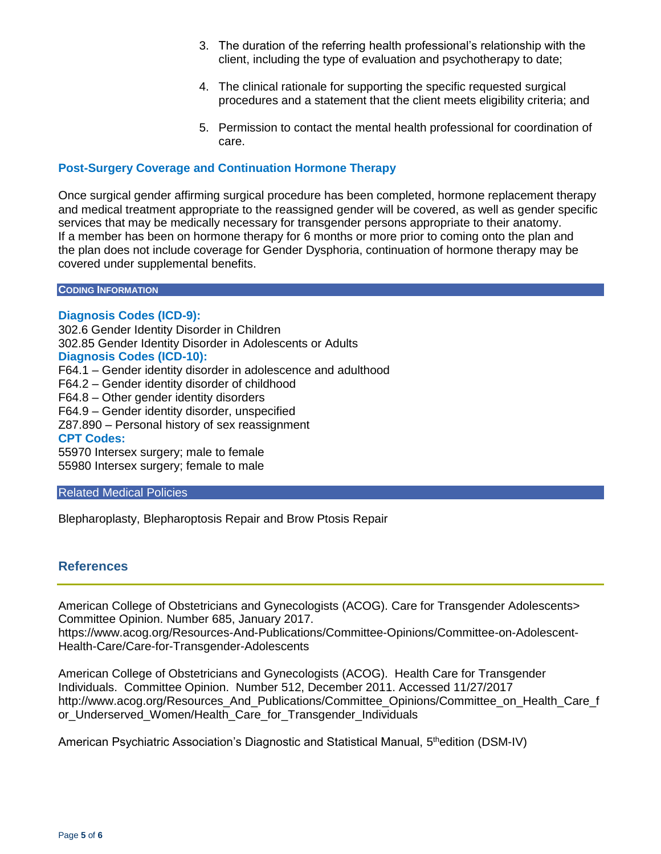- 3. The duration of the referring health professional's relationship with the client, including the type of evaluation and psychotherapy to date;
- 4. The clinical rationale for supporting the specific requested surgical procedures and a statement that the client meets eligibility criteria; and
- 5. Permission to contact the mental health professional for coordination of care.

## **Post-Surgery Coverage and Continuation Hormone Therapy**

Once surgical gender affirming surgical procedure has been completed, hormone replacement therapy and medical treatment appropriate to the reassigned gender will be covered, as well as gender specific services that may be medically necessary for transgender persons appropriate to their anatomy. If a member has been on hormone therapy for 6 months or more prior to coming onto the plan and the plan does not include coverage for Gender Dysphoria, continuation of hormone therapy may be covered under supplemental benefits.

#### **CODING INFORMATION**

## **Diagnosis Codes (ICD-9):**

302.6 Gender Identity Disorder in Children 302.85 Gender Identity Disorder in Adolescents or Adults **Diagnosis Codes (ICD-10):** F64.1 – Gender identity disorder in adolescence and adulthood F64.2 – Gender identity disorder of childhood F64.8 – Other gender identity disorders F64.9 – Gender identity disorder, unspecified Z87.890 – Personal history of sex reassignment **CPT Codes:** 55970 Intersex surgery; male to female 55980 Intersex surgery; female to male Related Medical Policies

Blepharoplasty, Blepharoptosis Repair and Brow Ptosis Repair

## **References**

American College of Obstetricians and Gynecologists (ACOG). Care for Transgender Adolescents> Committee Opinion. Number 685, January 2017. https://www.acog.org/Resources-And-Publications/Committee-Opinions/Committee-on-Adolescent-

Health-Care/Care-for-Transgender-Adolescents

American College of Obstetricians and Gynecologists (ACOG). Health Care for Transgender Individuals. Committee Opinion. Number 512, December 2011. Accessed 11/27/2017 [http://www.acog.org/Resources\\_And\\_Publications/Committee\\_Opinions/Committee\\_on\\_Health\\_Care\\_f](http://www.acog.org/Resources_And_Publications/Committee_Opinions/Committee_on_Health_Care_for_Underserved_Women/Health_Care_for_Transgender_Individuals) or Underserved Women/Health Care for Transgender Individuals

American Psychiatric Association's Diagnostic and Statistical Manual, 5<sup>th</sup>edition (DSM-IV)